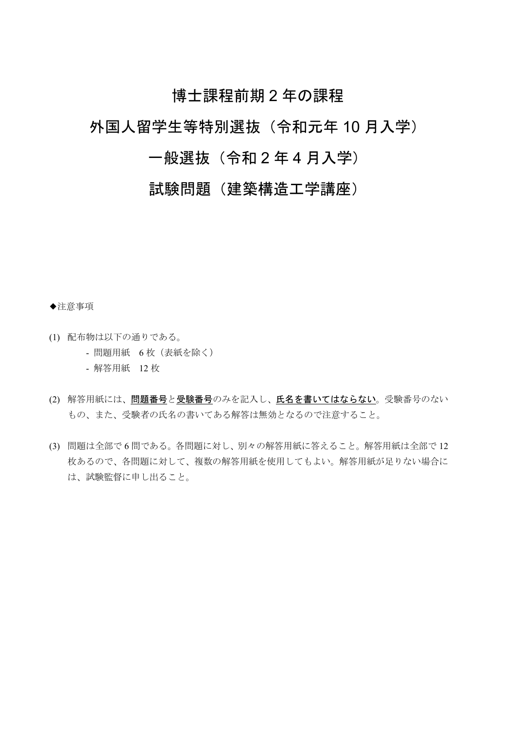## 博士課程前期2年の課程

## 外国人留学生等特別選抜 (令和元年10月入学)

## 一般選抜 (令和2年4月入学)

## 試験問題 (建築構造工学講座)

◆注意事項

- (1) 配布物は以下の通りである。
	- 問題用紙 6枚 (表紙を除く)
	- 解答用紙 12枚
- (2) 解答用紙には、問題番号と受験番号のみを記入し、氏名を書いてはならない。受験番号のない もの、また、受験者の氏名の書いてある解答は無効となるので注意すること。
- (3) 問題は全部で6問である。各問題に対し、別々の解答用紙に答えること。解答用紙は全部で12 枚あるので、各問題に対して、複数の解答用紙を使用してもよい。解答用紙が足りない場合に は、試験監督に申し出ること。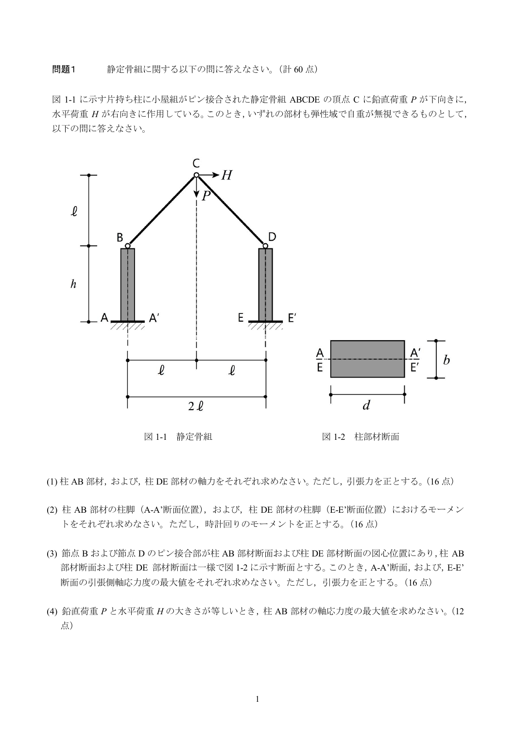問題1 静定骨組に関する以下の問に答えなさい。(計60点)

図 1-1 に示す片持ち柱に小屋組がピン接合された静定骨組 ABCDE の頂点 C に鉛直荷重 P が下向きに, 水平荷重 H が右向きに作用している。このとき, いずれの部材も弾性域で自重が無視できるものとして, 以下の間に答えなさい。



図 1-1 静定骨組

図 1-2 柱部材断面

(1) 柱 AB 部材, および, 柱 DE 部材の軸力をそれぞれ求めなさい。ただし, 引張力を正とする。(16点)

- (2) 柱 AB 部材の柱脚 (A-A'断面位置), および、柱 DE 部材の柱脚 (E-E'断面位置) におけるモーメン トをそれぞれ求めなさい。ただし、時計回りのモーメントを正とする。(16点)
- (3) 節点 B および節点 D のピン接合部が柱 AB 部材断面および柱 DE 部材断面の図心位置にあり,柱 AB 部材断面および柱 DE 部材断面は一様で図 1-2 に示す断面とする。このとき, A-A'断面, および, E-E' 断面の引張側軸応力度の最大値をそれぞれ求めなさい。ただし、引張力を正とする。(16点)
- (4) 鉛直荷重 P と水平荷重 H の大きさが等しいとき、柱 AB 部材の軸応力度の最大値を求めなさい。(12 点)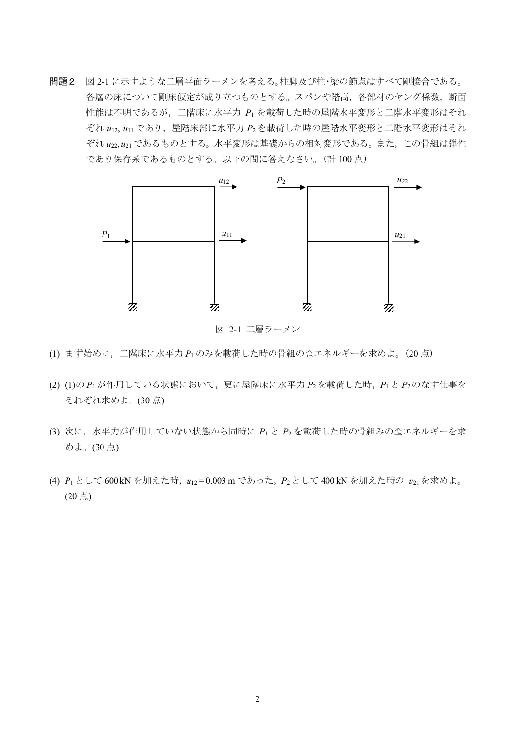問題2 図2-1 に示すような二層平面ラーメンを考える。柱脚及び柱・梁の節点はすべて剛接合である。 各層の床について剛床仮定が成り立つものとする。スパンや階高,各部材のヤング係数,断面 性能は不明であるが、二階床に水平力 P1 を載荷した時の屋階水平変形と二階水平変形はそれ  $\ddot{z}$ れ  $u_{12}$ ,  $u_{11}$  であり, 屋階床部に水平力  $P_2$ を載荷した時の屋階水平変形と二階水平変形はそれ ぞれ u22,u21 であるものとする。水平変形は基礎からの相対変形である。また, この骨組は弾性 であり保存系であるものとする。以下の間に答えなさい。(計 100 点)



図 2-1 二層ラーメン

- (1) まず始めに,二階床に水平力 P1のみを載荷した時の骨組の歪エネルギーを求めよ。(20 点)
- $(2)$   $(1)$ の  $P_1$ が作用している状態において、更に屋階床に水平力  $P_2$ を載荷した時、 $P_1$ と  $P_2$ のなす仕事を それぞれ求めよ。(30点)
- (3) 次に、水平力が作用していない状態から同時に P1 と P2 を載荷した時の骨組みの歪エネルギーを求 めよ。(30点)
- (4)  $P_1$ として 600 kN を加えた時, $u_{12}$ =0.003 m であった。 $P_2$ として 400 kN を加えた時の  $u_{21}$ を求めよ。  $(20 \,$ 点)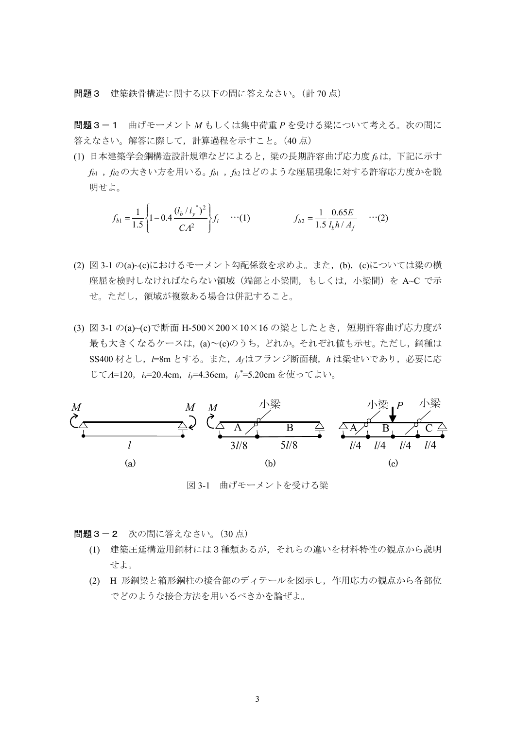問題3 建築鉄骨構造に関する以下の問に答えなさい。(計70点)

問題3-1 曲げモーメントMもしくは集中荷重Pを受ける梁について考える。次の問に 答えなさい。解答に際して、計算過程を示すこと。(40点)

(1) 日本建築学会鋼構造設計規準などによると、梁の長期許容曲げ応力度faは、下記に示す  $f_{b1}$ ,  $f_{b2}$ の大きい方を用いる。 $f_{b1}$ ,  $f_{b2}$ はどのような座屈現象に対する許容応力度かを説 明せよ。

$$
f_{b1} = \frac{1}{1.5} \left\{ 1 - 0.4 \frac{(l_b/i_y^*)^2}{CA^2} \right\} f_t \quad \cdots (1) \qquad f_{b2} = \frac{1}{1.5} \frac{0.65E}{l_b h / A_f} \quad \cdots (2)
$$

- (2) 図 3-1 の(a)~(c)におけるモーメント勾配係数を求めよ。また、(b), (c)については梁の横 座屈を検討しなければならない領域(端部と小梁間,もしくは、小梁間)を A~C で示 せ。ただし、領域が複数ある場合は併記すること。
- (3) 図 3-1 の(a)~(c)で断面 H-500×200×10×16 の梁としたとき、短期許容曲げ応力度が 最も大きくなるケースは, (a)~(c)のうち, どれか。それぞれ値も示せ。ただし, 鋼種は SS400 材とし、I=8m とする。また、Arはフランジ断面積、hは梁せいであり、必要に応 じてA=120, ix=20.4cm, iv=4.36cm, iv\*=5.20cmを使ってよい。



図 3-1 曲げモーメントを受ける梁

問題3-2 次の問に答えなさい。(30点)

- (1) 建築圧延構造用鋼材には3種類あるが、それらの違いを材料特性の観点から説明 せよ。
- (2) H 形鋼梁と箱形鋼柱の接合部のディテールを図示し, 作用応力の観点から各部位 でどのような接合方法を用いるべきかを論ぜよ。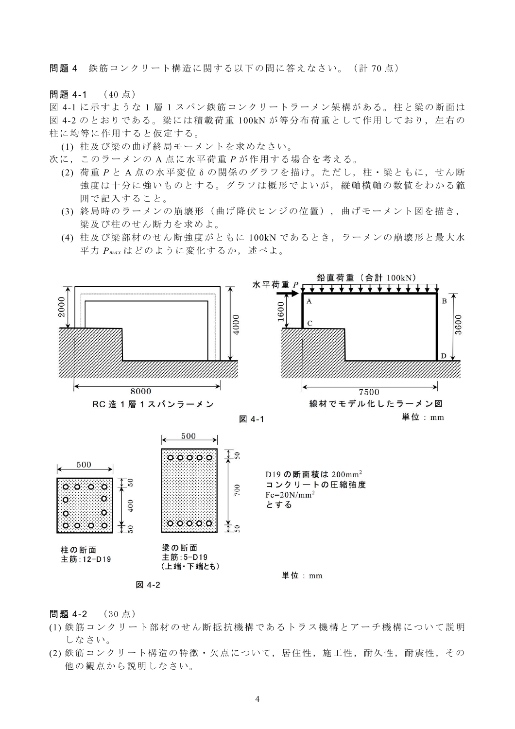問題4 鉄筋コンクリート構造に関する以下の問に答えなさい。(計70点)

問題 4-1 (40点)

図 4-1 に示すような1層1スパン鉄筋コンクリートラーメン架構がある。柱と梁の断面は 図 4-2 のとおりである。梁には積載荷重 100kN が等分布荷重として作用しており、左右の 柱に均等に作用すると仮定する。

(1) 柱及び梁の曲げ終局モーメントを求めなさい。

次に、このラーメンのA点に水平荷重Pが作用する場合を考える。

- (2) 荷重 P と A 点の水平変位 δ の関係のグラフを描け。ただし, 柱・梁ともに, せん断 強度は十分に強いものとする。グラフは概形でよいが、縦軸横軸の数値をわかる範 囲で記入すること。
- (3) 終局時のラーメンの崩壊形(曲げ降伏ヒンジの位置),曲げモーメント図を描き, 梁及び柱のせん断力を求めよ。
- (4) 柱及び梁部材のせん断強度がともに 100kN であるとき, ラーメンの崩壊形と最大水 平力 Pmax はどのように変化するか、述べよ。



図 4-2

問題 4-2 (30点)

- (1) 鉄筋コンクリート部材のせん断抵抗機構であるトラス機構とアーチ機構について説明 しなさい。
- (2) 鉄筋コンクリート構造の特徴・欠点について、居住性、施工性、耐久性、耐震性、その 他の観点から説明しなさい。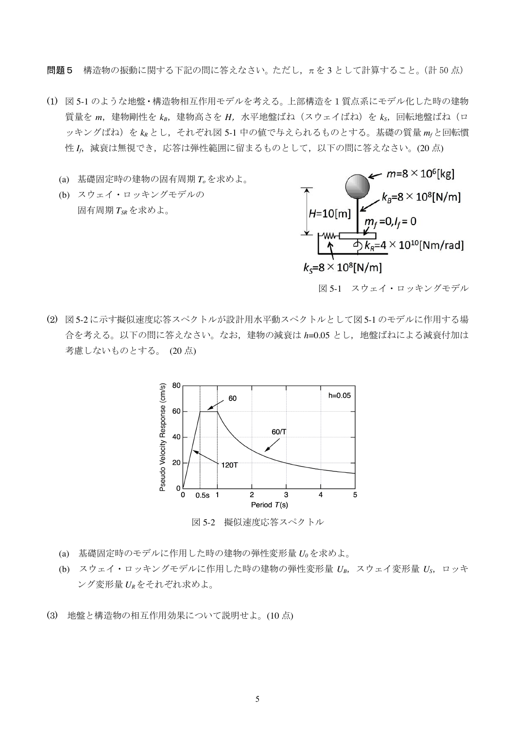問題5 構造物の振動に関する下記の問に答えなさい。ただし、πを3として計算すること。(計50点)

- (1) 図 5-1 のような地盤・構造物相互作用モデルを考える。上部構造を1質点系にモデル化した時の建物 質量を  $m$ , 建物剛性を  $k_B$ , 建物高さを  $H$ , 水平地盤ばね (スウェイばね) を  $k_S$ , 回転地盤ばね (ロ ッキングばね)をkRとし、それぞれ図 5-1 中の値で与えられるものとする。基礎の質量mrと回転慣 性Ic 減衰は無視でき、応答は弾性範囲に留まるものとして、以下の間に答えなさい。(20点)
	- (a) 基礎固定時の建物の固有周期 Toを求めよ。
	- (b) スウェイ・ロッキングモデルの 固有周期TsRを求めよ。



図 5-1 スウェイ・ロッキングモデル

(2) 図5-2に示す擬似速度応答スペクトルが設計用水平動スペクトルとして図5-1のモデルに作用する場 合を考える。以下の問に答えなさい。なお、建物の減衰は h=0.05 とし、地盤ばねによる減衰付加は 考慮しないものとする。(20点)



図 5-2 擬似速度応答スペクトル

- (a) 基礎固定時のモデルに作用した時の建物の弾性変形量 Uoを求めよ。
- (b) スウェイ・ロッキングモデルに作用した時の建物の弾性変形量 UB, スウェイ変形量 Us, ロッキ ング変形量 URをそれぞれ求めよ。
- (3) 地盤と構造物の相互作用効果について説明せよ。(10点)